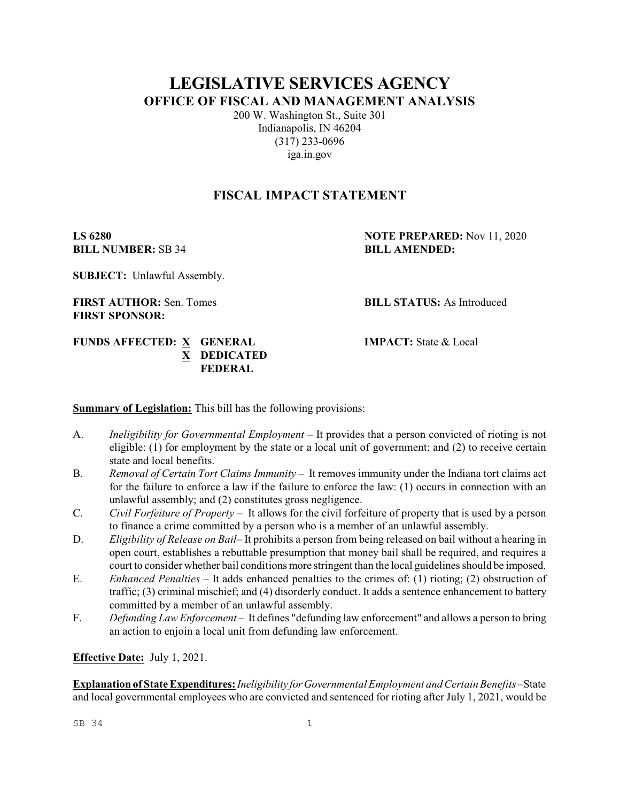## **LEGISLATIVE SERVICES AGENCY OFFICE OF FISCAL AND MANAGEMENT ANALYSIS**

200 W. Washington St., Suite 301 Indianapolis, IN 46204 (317) 233-0696 iga.in.gov

### **FISCAL IMPACT STATEMENT**

**BILL NUMBER:** SB 34 **BILL AMENDED:**

# **LS 6280 NOTE PREPARED:** Nov 11, 2020

**SUBJECT:** Unlawful Assembly.

**FIRST AUTHOR:** Sen. Tomes **BILL STATUS:** As Introduced **FIRST SPONSOR:**

**FUNDS AFFECTED: X GENERAL IMPACT:** State & Local **X DEDICATED FEDERAL**

**Summary of Legislation:** This bill has the following provisions:

- A. *Ineligibility for Governmental Employment* It provides that a person convicted of rioting is not eligible: (1) for employment by the state or a local unit of government; and (2) to receive certain state and local benefits.
- B. *Removal of Certain Tort Claims Immunity* It removes immunity under the Indiana tort claims act for the failure to enforce a law if the failure to enforce the law: (1) occurs in connection with an unlawful assembly; and (2) constitutes gross negligence.
- C. *Civil Forfeiture of Property* It allows for the civil forfeiture of property that is used by a person to finance a crime committed by a person who is a member of an unlawful assembly.
- D. *Eligibility of Release on Bail* It prohibits a person from being released on bail without a hearing in open court, establishes a rebuttable presumption that money bail shall be required, and requires a court to consider whether bail conditions more stringent than the local guidelines should be imposed.
- E. *Enhanced Penalties* It adds enhanced penalties to the crimes of: (1) rioting; (2) obstruction of traffic; (3) criminal mischief; and (4) disorderly conduct. It adds a sentence enhancement to battery committed by a member of an unlawful assembly.
- F. *Defunding Law Enforcement* It defines "defunding law enforcement" and allows a person to bring an action to enjoin a local unit from defunding law enforcement.

#### **Effective Date:** July 1, 2021.

**Explanation of State Expenditures:***Ineligibility forGovernmentalEmployment and Certain Benefits* –State and local governmental employees who are convicted and sentenced for rioting after July 1, 2021, would be

 $SB$  34 1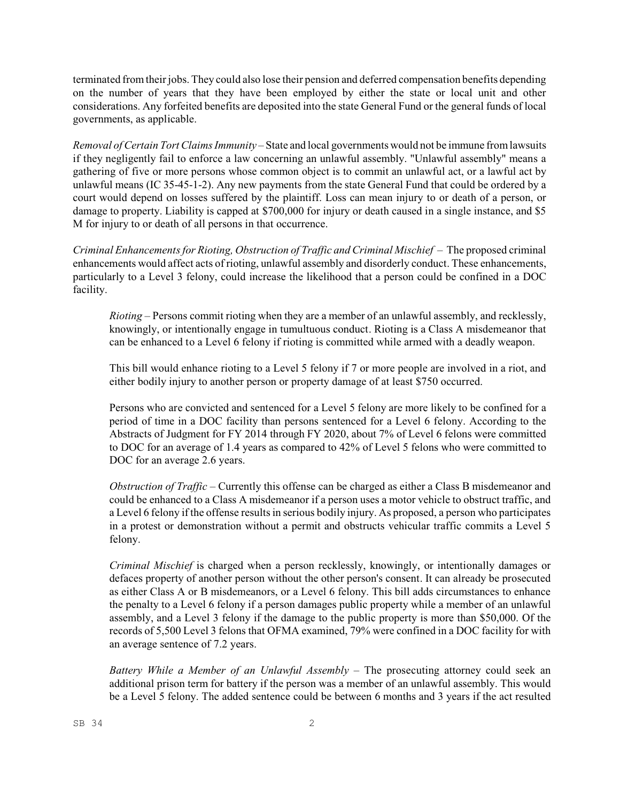terminated fromtheir jobs. They could also lose their pension and deferred compensation benefits depending on the number of years that they have been employed by either the state or local unit and other considerations. Any forfeited benefits are deposited into the state General Fund or the general funds of local governments, as applicable.

*Removal ofCertain TortClaims Immunity* – State and local governments would not be immune fromlawsuits if they negligently fail to enforce a law concerning an unlawful assembly. "Unlawful assembly" means a gathering of five or more persons whose common object is to commit an unlawful act, or a lawful act by unlawful means (IC 35-45-1-2). Any new payments from the state General Fund that could be ordered by a court would depend on losses suffered by the plaintiff. Loss can mean injury to or death of a person, or damage to property. Liability is capped at \$700,000 for injury or death caused in a single instance, and \$5 M for injury to or death of all persons in that occurrence.

*Criminal Enhancements for Rioting, Obstruction of Traffic and Criminal Mischief* – The proposed criminal enhancements would affect acts of rioting, unlawful assembly and disorderly conduct. These enhancements, particularly to a Level 3 felony, could increase the likelihood that a person could be confined in a DOC facility.

*Rioting* – Persons commit rioting when they are a member of an unlawful assembly, and recklessly, knowingly, or intentionally engage in tumultuous conduct. Rioting is a Class A misdemeanor that can be enhanced to a Level 6 felony if rioting is committed while armed with a deadly weapon.

This bill would enhance rioting to a Level 5 felony if 7 or more people are involved in a riot, and either bodily injury to another person or property damage of at least \$750 occurred.

Persons who are convicted and sentenced for a Level 5 felony are more likely to be confined for a period of time in a DOC facility than persons sentenced for a Level 6 felony. According to the Abstracts of Judgment for FY 2014 through FY 2020, about 7% of Level 6 felons were committed to DOC for an average of 1.4 years as compared to 42% of Level 5 felons who were committed to DOC for an average 2.6 years.

*Obstruction of Traffic* – Currently this offense can be charged as either a Class B misdemeanor and could be enhanced to a Class A misdemeanor if a person uses a motor vehicle to obstruct traffic, and a Level 6 felony if the offense results in serious bodily injury. As proposed, a person who participates in a protest or demonstration without a permit and obstructs vehicular traffic commits a Level 5 felony.

*Criminal Mischief* is charged when a person recklessly, knowingly, or intentionally damages or defaces property of another person without the other person's consent. It can already be prosecuted as either Class A or B misdemeanors, or a Level 6 felony. This bill adds circumstances to enhance the penalty to a Level 6 felony if a person damages public property while a member of an unlawful assembly, and a Level 3 felony if the damage to the public property is more than \$50,000. Of the records of 5,500 Level 3 felons that OFMA examined, 79% were confined in a DOC facility for with an average sentence of 7.2 years.

*Battery While a Member of an Unlawful Assembly* – The prosecuting attorney could seek an additional prison term for battery if the person was a member of an unlawful assembly. This would be a Level 5 felony. The added sentence could be between 6 months and 3 years if the act resulted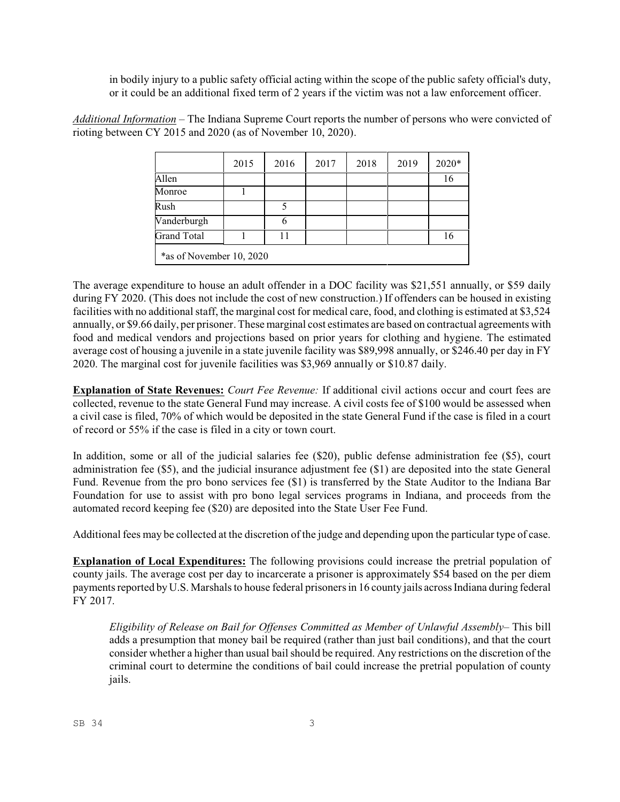in bodily injury to a public safety official acting within the scope of the public safety official's duty, or it could be an additional fixed term of 2 years if the victim was not a law enforcement officer.

*Additional Information* – The Indiana Supreme Court reports the number of persons who were convicted of rioting between CY 2015 and 2020 (as of November 10, 2020).

|                          | 2015 | 2016 | 2017 | 2018 | 2019 | 2020* |
|--------------------------|------|------|------|------|------|-------|
| Allen                    |      |      |      |      |      | 16    |
| Monroe                   |      |      |      |      |      |       |
| Rush                     |      |      |      |      |      |       |
| Vanderburgh              |      |      |      |      |      |       |
| Grand Total              |      |      |      |      |      | 16    |
| *as of November 10, 2020 |      |      |      |      |      |       |

The average expenditure to house an adult offender in a DOC facility was \$21,551 annually, or \$59 daily during FY 2020. (This does not include the cost of new construction.) If offenders can be housed in existing facilities with no additional staff, the marginal cost for medical care, food, and clothing is estimated at \$3,524 annually, or \$9.66 daily, per prisoner. These marginal cost estimates are based on contractual agreements with food and medical vendors and projections based on prior years for clothing and hygiene. The estimated average cost of housing a juvenile in a state juvenile facility was \$89,998 annually, or \$246.40 per day in FY 2020. The marginal cost for juvenile facilities was \$3,969 annually or \$10.87 daily.

**Explanation of State Revenues:** *Court Fee Revenue:* If additional civil actions occur and court fees are collected, revenue to the state General Fund may increase. A civil costs fee of \$100 would be assessed when a civil case is filed, 70% of which would be deposited in the state General Fund if the case is filed in a court of record or 55% if the case is filed in a city or town court.

In addition, some or all of the judicial salaries fee (\$20), public defense administration fee (\$5), court administration fee (\$5), and the judicial insurance adjustment fee (\$1) are deposited into the state General Fund. Revenue from the pro bono services fee (\$1) is transferred by the State Auditor to the Indiana Bar Foundation for use to assist with pro bono legal services programs in Indiana, and proceeds from the automated record keeping fee (\$20) are deposited into the State User Fee Fund.

Additional fees may be collected at the discretion of the judge and depending upon the particular type of case.

**Explanation of Local Expenditures:** The following provisions could increase the pretrial population of county jails. The average cost per day to incarcerate a prisoner is approximately \$54 based on the per diem payments reported by U.S. Marshals to house federal prisoners in 16 county jails across Indiana during federal FY 2017.

*Eligibility of Release on Bail for Offenses Committed as Member of Unlawful Assembly*– This bill adds a presumption that money bail be required (rather than just bail conditions), and that the court consider whether a higher than usual bailshould be required. Any restrictions on the discretion of the criminal court to determine the conditions of bail could increase the pretrial population of county jails.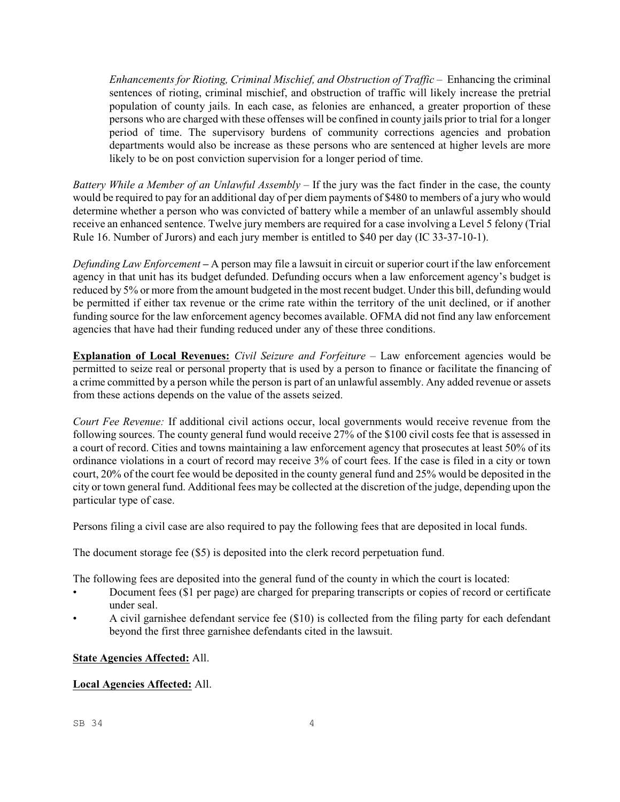*Enhancements for Rioting, Criminal Mischief, and Obstruction of Traffic* – Enhancing the criminal sentences of rioting, criminal mischief, and obstruction of traffic will likely increase the pretrial population of county jails. In each case, as felonies are enhanced, a greater proportion of these persons who are charged with these offenses will be confined in county jails prior to trial for a longer period of time. The supervisory burdens of community corrections agencies and probation departments would also be increase as these persons who are sentenced at higher levels are more likely to be on post conviction supervision for a longer period of time.

*Battery While a Member of an Unlawful Assembly* – If the jury was the fact finder in the case, the county would be required to pay for an additional day of per diem payments of \$480 to members of a jury who would determine whether a person who was convicted of battery while a member of an unlawful assembly should receive an enhanced sentence. Twelve jury members are required for a case involving a Level 5 felony (Trial Rule 16. Number of Jurors) and each jury member is entitled to \$40 per day (IC 33-37-10-1).

*Defunding Law Enforcement* **–** A person may file a lawsuit in circuit or superior court if the law enforcement agency in that unit has its budget defunded. Defunding occurs when a law enforcement agency's budget is reduced by 5% or more from the amount budgeted in the most recent budget. Under this bill, defunding would be permitted if either tax revenue or the crime rate within the territory of the unit declined, or if another funding source for the law enforcement agency becomes available. OFMA did not find any law enforcement agencies that have had their funding reduced under any of these three conditions.

**Explanation of Local Revenues:** *Civil Seizure and Forfeiture* – Law enforcement agencies would be permitted to seize real or personal property that is used by a person to finance or facilitate the financing of a crime committed by a person while the person is part of an unlawful assembly. Any added revenue or assets from these actions depends on the value of the assets seized.

*Court Fee Revenue:* If additional civil actions occur, local governments would receive revenue from the following sources. The county general fund would receive 27% of the \$100 civil costs fee that is assessed in a court of record. Cities and towns maintaining a law enforcement agency that prosecutes at least 50% of its ordinance violations in a court of record may receive 3% of court fees. If the case is filed in a city or town court, 20% of the court fee would be deposited in the county general fund and 25% would be deposited in the city or town general fund. Additional fees may be collected at the discretion of the judge, depending upon the particular type of case.

Persons filing a civil case are also required to pay the following fees that are deposited in local funds.

The document storage fee (\$5) is deposited into the clerk record perpetuation fund.

The following fees are deposited into the general fund of the county in which the court is located:

- Document fees (\$1 per page) are charged for preparing transcripts or copies of record or certificate under seal.
- A civil garnishee defendant service fee (\$10) is collected from the filing party for each defendant beyond the first three garnishee defendants cited in the lawsuit.

#### **State Agencies Affected:** All.

#### **Local Agencies Affected:** All.